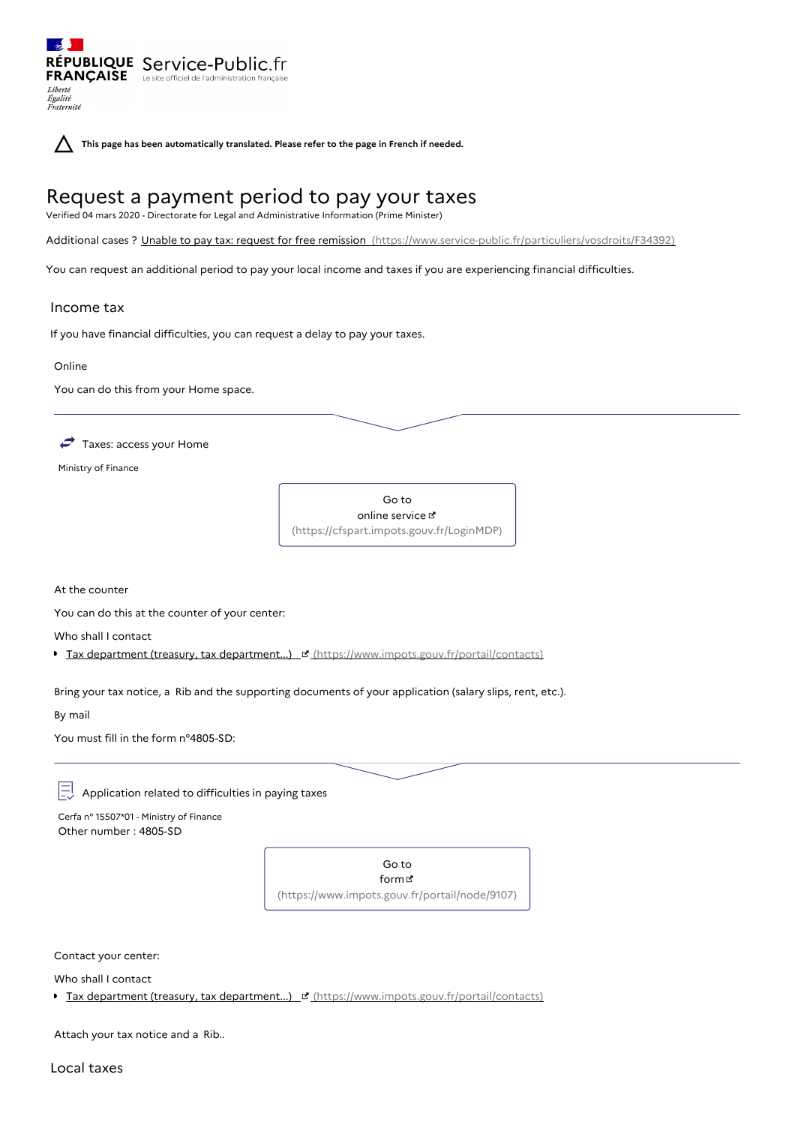RÉPUBLIQUE Service-Public.fr **FRANÇAISE** Le site officiel de l'administration Liberté Égalité<br>Fraternité

**This page has been automatically translated. Please refer to the page in French if needed.**

# Request a payment period to pay your taxes

Verified 04 mars 2020 - Directorate for Legal and Administrative Information (Prime Minister)

Additional cases ? Unable to pay tax: request for free remission [\(https://www.service-public.fr/particuliers/vosdroits/F34392\)](https://www.service-public.fr/particuliers/vosdroits/F34392)

You can request an additional period to pay your local income and taxes if you are experiencing financial difficulties.

## Income tax

If you have financial difficulties, you can request a delay to pay your taxes.

Online

You can do this from your Home space.

 $\rightarrow$  Taxes: access your Home

Ministry of Finance



At the counter

You can do this at the counter of your center:

Who shall I contact

Tax department (treasury, tax department...) If [\(https://www.impots.gouv.fr/portail/contacts\)](https://www.impots.gouv.fr/portail/contacts)

Bring your tax notice, a Rib and the supporting documents of your application (salary slips, rent, etc.).

By mail

You must fill in the form n°4805-SD:

巨 Application related to difficulties in paying taxes

Cerfa n° 15507\*01 - Ministry of Finance Other number : 4805-SD

> Go to form [\(https://www.impots.gouv.fr/portail/node/9107\)](https://www.impots.gouv.fr/portail/node/9107)

Contact your center:

Who shall I contact

Tax department (treasury, tax department...) <sup>re</sup> [\(https://www.impots.gouv.fr/portail/contacts\)](https://www.impots.gouv.fr/portail/contacts)

Attach your tax notice and a Rib..

Local taxes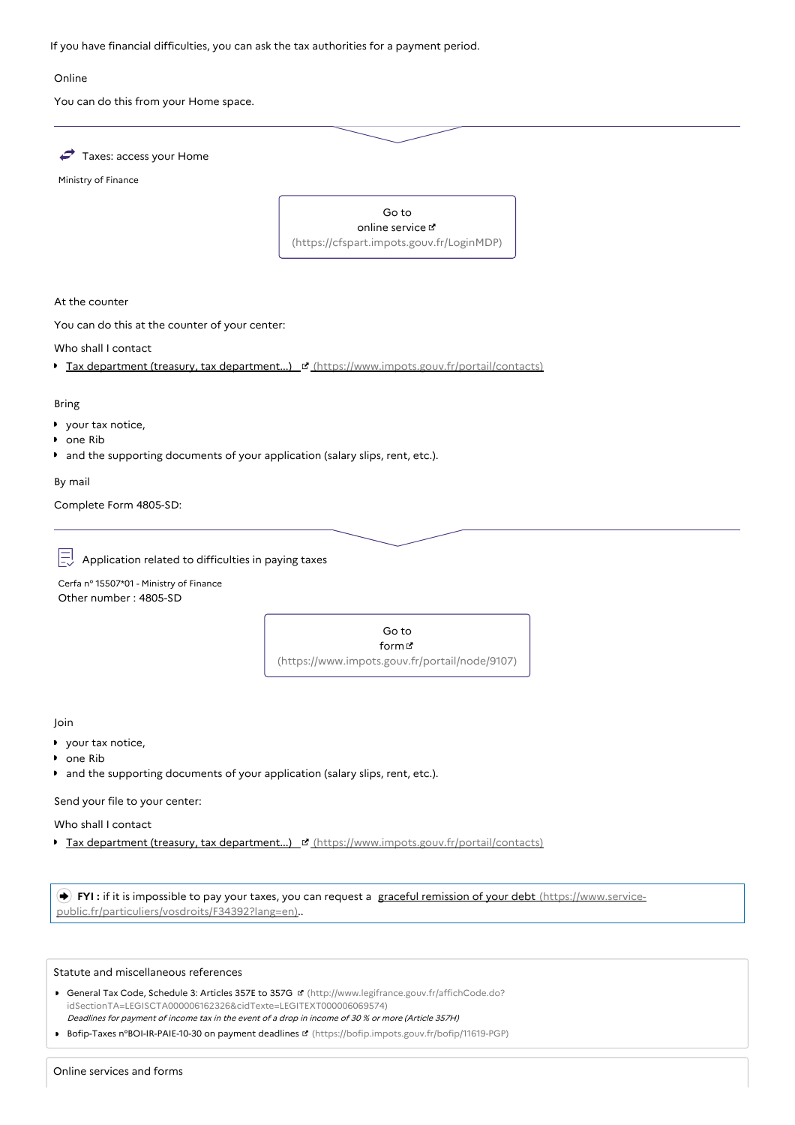If you have financial difficulties, you can ask the tax authorities for a payment period.

#### Online

You can do this from your Home space.



Ministry of Finance



At the counter

You can do this at the counter of your center:

Who shall I contact

Tax department (treasury, tax department...) [d' [\(https://www.impots.gouv.fr/portail/contacts\)](https://www.impots.gouv.fr/portail/contacts)

#### Bring

- your tax notice,
- **D** one Rib
- and the supporting documents of your application (salary slips, rent, etc.).

By mail

Complete Form 4805-SD:

 $\left| \frac{\overline{}}{\overline{}} \right|$  Application related to difficulties in paying taxes

Cerfa n° 15507\*01 - Ministry of Finance Other number : 4805-SD



Join

- your tax notice,
- one Rib
- and the supporting documents of your application (salary slips, rent, etc.).

Send your file to your center:

Who shall I contact

Tax department (treasury, tax department...) [c] [\(https://www.impots.gouv.fr/portail/contacts\)](https://www.impots.gouv.fr/portail/contacts)

 **FYI :** if it is impossible to pay your taxes, you can request a graceful remission of your debt (https://www.service[public.fr/particuliers/vosdroits/F34392?lang=en\)..](https://www.service-public.fr/particuliers/vosdroits/F34392?lang=en)

## Statute and miscellaneous references

- General Tax Code, Schedule 3: Articles 357E to 357G (http://www.legifrance.gouv.fr/affichCode.do? [idSectionTA=LEGISCTA000006162326&cidTexte=LEGITEXT000006069574\)](http://www.legifrance.gouv.fr/affichCode.do?idSectionTA=LEGISCTA000006162326&cidTexte=LEGITEXT000006069574) Deadlines for payment of income tax in the event of <sup>a</sup> drop in income of 30 % or more (Article 357H)
- Bofip-Taxes n°BOI-IR-PAIE-10-30 on payment deadlines **¤** [\(https://bofip.impots.gouv.fr/bofip/11619-PGP\)](https://bofip.impots.gouv.fr/bofip/11619-PGP)